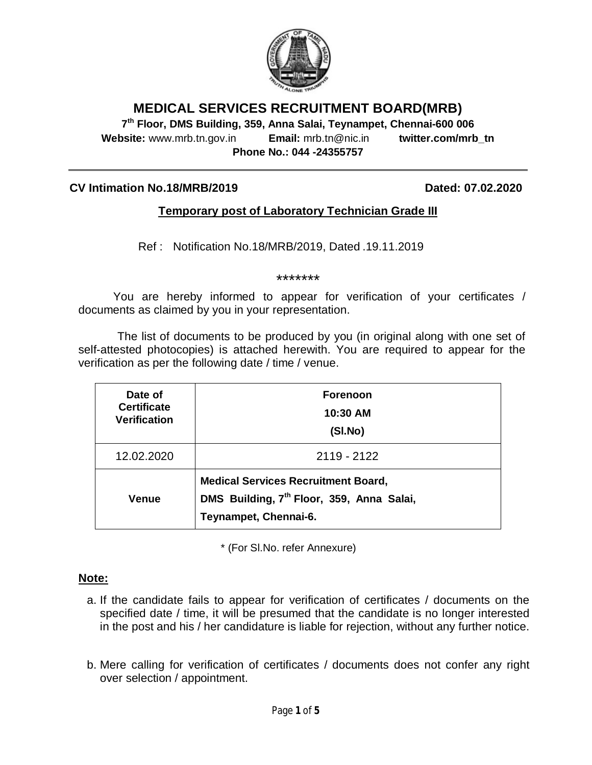

## **MEDICAL SERVICES RECRUITMENT BOARD(MRB)**

**7 th Floor, DMS Building, 359, Anna Salai, Teynampet, Chennai-600 006 Website:** www.mrb.tn.gov.in **Email:** mrb.tn@nic.in **twitter.com/mrb\_tn Phone No.: 044 -24355757**

#### **CV Intimation No.18/MRB/2019 Dated: 07.02.2020**

### **Temporary post of Laboratory Technician Grade III**

Ref : Notification No.18/MRB/2019, Dated .19.11.2019

\*\*\*\*\*\*\*

You are hereby informed to appear for verification of your certificates / documents as claimed by you in your representation.

The list of documents to be produced by you (in original along with one set of self-attested photocopies) is attached herewith. You are required to appear for the verification as per the following date / time / venue.

| Date of<br><b>Certificate</b><br><b>Verification</b> | <b>Forenoon</b><br>10:30 AM<br>(SI.No)                                                                                       |
|------------------------------------------------------|------------------------------------------------------------------------------------------------------------------------------|
| 12.02.2020                                           | 2119 - 2122                                                                                                                  |
| <b>Venue</b>                                         | <b>Medical Services Recruitment Board,</b><br>DMS Building, 7 <sup>th</sup> Floor, 359, Anna Salai,<br>Teynampet, Chennai-6. |

\* (For Sl.No. refer Annexure)

#### **Note:**

- a. If the candidate fails to appear for verification of certificates / documents on the specified date / time, it will be presumed that the candidate is no longer interested in the post and his / her candidature is liable for rejection, without any further notice.
- b. Mere calling for verification of certificates / documents does not confer any right over selection / appointment.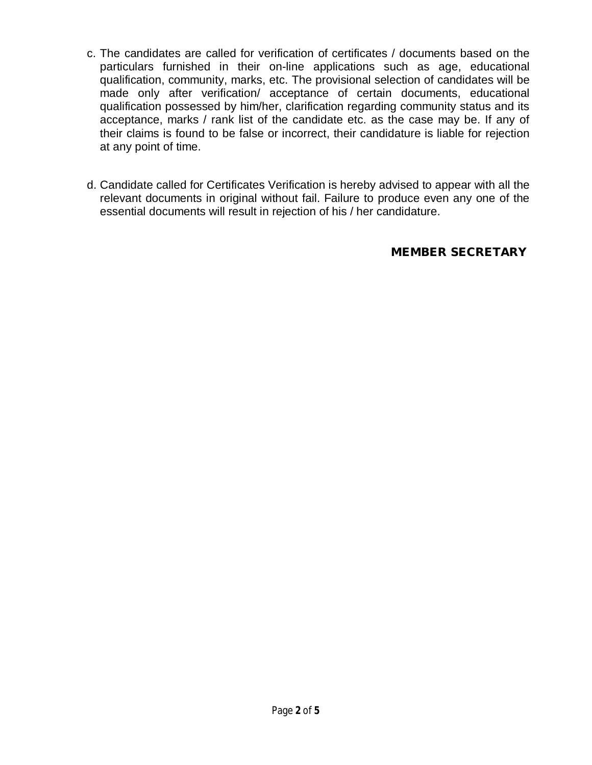- c. The candidates are called for verification of certificates / documents based on the particulars furnished in their on-line applications such as age, educational qualification, community, marks, etc. The provisional selection of candidates will be made only after verification/ acceptance of certain documents, educational qualification possessed by him/her, clarification regarding community status and its acceptance, marks / rank list of the candidate etc. as the case may be. If any of their claims is found to be false or incorrect, their candidature is liable for rejection at any point of time.
- d. Candidate called for Certificates Verification is hereby advised to appear with all the relevant documents in original without fail. Failure to produce even any one of the essential documents will result in rejection of his / her candidature.

**MEMBER SECRETARY**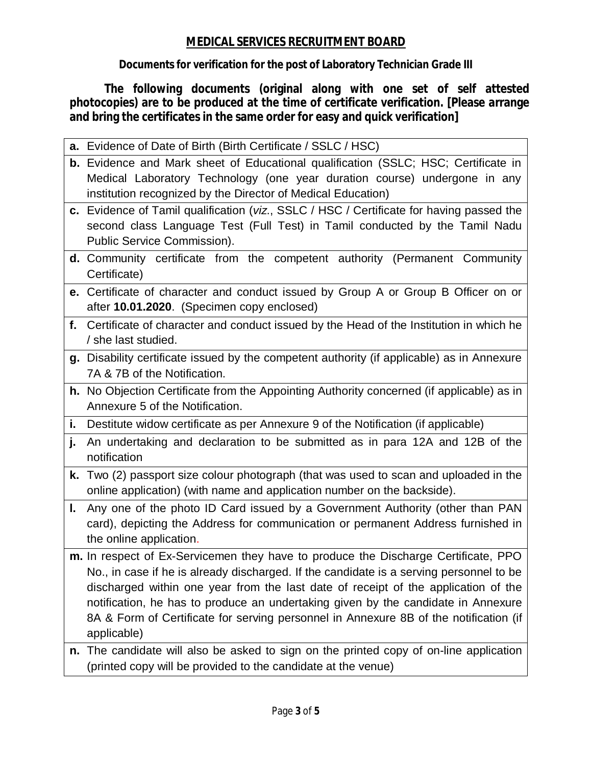## **MEDICAL SERVICES RECRUITMENT BOARD**

**Documents for verification for the post of Laboratory Technician Grade III**

**The following documents (original along with one set of self attested photocopies) are to be produced at the time of certificate verification. [Please arrange and bring the certificates in the same order for easy and quick verification]**

|     | a. Evidence of Date of Birth (Birth Certificate / SSLC / HSC)                                                                                                                                                                                                                                                                                                                                                                                                    |
|-----|------------------------------------------------------------------------------------------------------------------------------------------------------------------------------------------------------------------------------------------------------------------------------------------------------------------------------------------------------------------------------------------------------------------------------------------------------------------|
|     | b. Evidence and Mark sheet of Educational qualification (SSLC; HSC; Certificate in<br>Medical Laboratory Technology (one year duration course) undergone in any                                                                                                                                                                                                                                                                                                  |
|     | institution recognized by the Director of Medical Education)                                                                                                                                                                                                                                                                                                                                                                                                     |
|     | c. Evidence of Tamil qualification (viz., SSLC / HSC / Certificate for having passed the<br>second class Language Test (Full Test) in Tamil conducted by the Tamil Nadu<br>Public Service Commission).                                                                                                                                                                                                                                                           |
|     | d. Community certificate from the competent authority (Permanent Community<br>Certificate)                                                                                                                                                                                                                                                                                                                                                                       |
|     | e. Certificate of character and conduct issued by Group A or Group B Officer on or<br>after 10.01.2020. (Specimen copy enclosed)                                                                                                                                                                                                                                                                                                                                 |
|     | f. Certificate of character and conduct issued by the Head of the Institution in which he<br>/ she last studied.                                                                                                                                                                                                                                                                                                                                                 |
|     | g. Disability certificate issued by the competent authority (if applicable) as in Annexure<br>7A & 7B of the Notification.                                                                                                                                                                                                                                                                                                                                       |
|     | h. No Objection Certificate from the Appointing Authority concerned (if applicable) as in<br>Annexure 5 of the Notification.                                                                                                                                                                                                                                                                                                                                     |
| i., | Destitute widow certificate as per Annexure 9 of the Notification (if applicable)                                                                                                                                                                                                                                                                                                                                                                                |
| j.  | An undertaking and declaration to be submitted as in para 12A and 12B of the<br>notification                                                                                                                                                                                                                                                                                                                                                                     |
| k.  | Two (2) passport size colour photograph (that was used to scan and uploaded in the<br>online application) (with name and application number on the backside).                                                                                                                                                                                                                                                                                                    |
| L.  | Any one of the photo ID Card issued by a Government Authority (other than PAN<br>card), depicting the Address for communication or permanent Address furnished in<br>the online application.                                                                                                                                                                                                                                                                     |
|     | m. In respect of Ex-Servicemen they have to produce the Discharge Certificate, PPO<br>No., in case if he is already discharged. If the candidate is a serving personnel to be<br>discharged within one year from the last date of receipt of the application of the<br>notification, he has to produce an undertaking given by the candidate in Annexure<br>8A & Form of Certificate for serving personnel in Annexure 8B of the notification (if<br>applicable) |
|     | n. The candidate will also be asked to sign on the printed copy of on-line application<br>(printed copy will be provided to the candidate at the venue)                                                                                                                                                                                                                                                                                                          |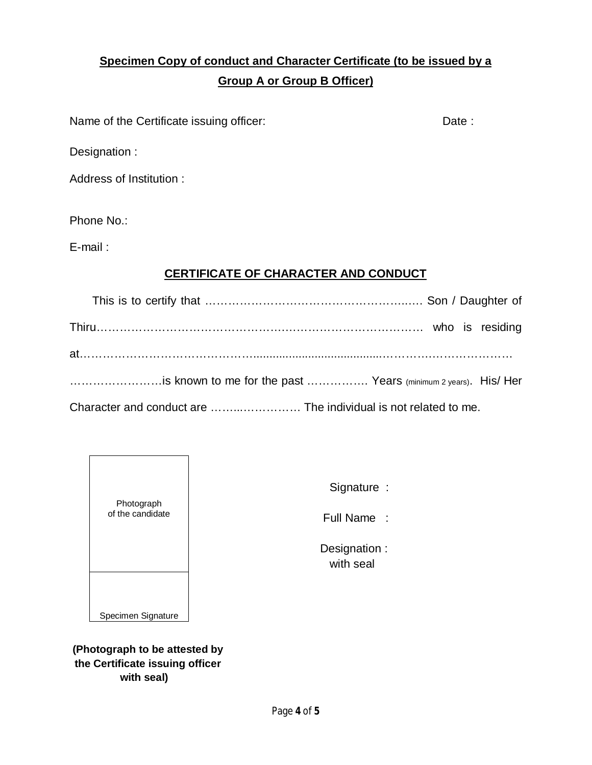# **Specimen Copy of conduct and Character Certificate (to be issued by a Group A or Group B Officer)**

Name of the Certificate issuing officer: Date : Date :

Designation :

Address of Institution :

Phone No.:

E-mail :

## **CERTIFICATE OF CHARACTER AND CONDUCT**

| is known to me for the past  Years (minimum 2 years). His/ Her |  |  |
|----------------------------------------------------------------|--|--|
|                                                                |  |  |

Character and conduct are ……...…………… The individual is not related to me.



Signature :

Full Name :

 Designation : with seal

**(Photograph to be attested by the Certificate issuing officer with seal)**